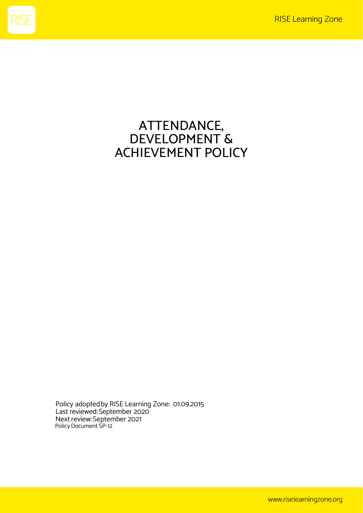

# ATTENDANCE, DEVELOPMENT & ACHIEVEMENT POLICY

Policy adopted by RISE Learning Zone: 01.09.2015 Last reviewed: September 2020 Next review: September 2021 Policy Document SP-12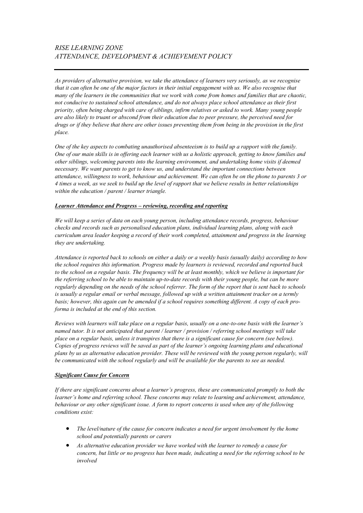# *RISE LEARNING ZONE ATTENDANCE, DEVELOPMENT & ACHIEVEMENT POLICY*

*As providers of alternative provision, we take the attendance of learners very seriously, as we recognise that it can often be one of the major factors in their initial engagement with us. We also recognise that many of the learners in the communities that we work with come from homes and families that are chaotic, not conducive to sustained school attendance, and do not always place school attendance as their first priority, often being charged with care of siblings, infirm relatives or asked to work. Many young people are also likely to truant or abscond from their education due to peer pressure, the perceived need for drugs or if they believe that there are other issues preventing them from being in the provision in the first place.* 

*One of the key aspects to combating unauthorised absenteeism is to build up a rapport with the family. One of our main skills is in offering each learner with us a holistic approach, getting to know families and other siblings, welcoming parents into the learning environment, and undertaking home visits if deemed necessary. We want parents to get to know us, and understand the important connections between attendance, willingness to work, behaviour and achievement. We can often be on the phone to parents 3 or 4 times a week, as we seek to build up the level of rapport that we believe results in better relationships within the education / parent / learner triangle.* 

#### *Learner Attendance and Progress – reviewing, recording and reporting*

*We will keep a series of data on each young person, including attendance records, progress, behaviour checks and records such as personalised education plans, individual learning plans, along with each curriculum area leader keeping a record of their work completed, attainment and progress in the learning they are undertaking.* 

*Attendance is reported back to schools on either a daily or a weekly basis (usually daily) according to how the school requires this information. Progress made by learners is reviewed, recorded and reported back to the school on a regular basis. The frequency will be at least monthly, which we believe is important for the referring school to be able to maintain up-to-date records with their young people, but can be more regularly depending on the needs of the school referrer. The form of the report that is sent back to schools is usually a regular email or verbal message, followed up with a written attainment tracker on a termly basis; however, this again can be amended if a school requires something different. A copy of each proforma is included at the end of this section.* 

*Reviews with learners will take place on a regular basis, usually on a one-to-one basis with the learner's named tutor. It is not anticipated that parent / learner / provision / referring school meetings will take place on a regular basis, unless it transpires that there is a significant cause for concern (see below). Copies of progress reviews will be saved as part of the learner's ongoing learning plans and educational plans by us as alternative education provider. These will be reviewed with the young person regularly, will be communicated with the school regularly and will be available for the parents to see as needed.*

#### *Significant Cause for Concern*

*If there are significant concerns about a learner's progress, these are communicated promptly to both the learner's home and referring school. These concerns may relate to learning and achievement, attendance, behaviour or any other significant issue. A form to report concerns is used when any of the following conditions exist:*

- *The level/nature of the cause for concern indicates a need for urgent involvement by the home school and potentially parents or carers*
- *As alternative education provider we have worked with the learner to remedy a cause for concern, but little or no progress has been made, indicating a need for the referring school to be involved*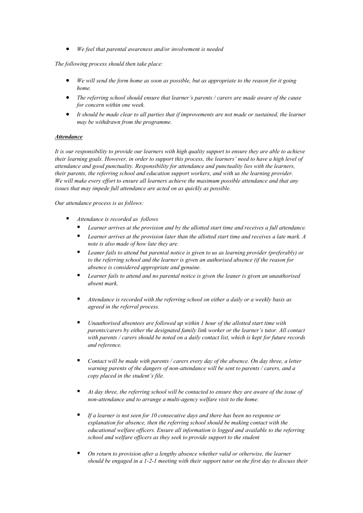• *We feel that parental awareness and/or involvement is needed*

*The following process should then take place:*

- *We will send the form home as soon as possible, but as appropriate to the reason for it going home.*
- *The referring school should ensure that learner's parents / carers are made aware of the cause for concern within one week.*
- *It should be made clear to all parties that if improvements are not made or sustained, the learner may be withdrawn from the programme.*

#### *Attendance*

*It is our responsibility to provide our learners with high quality support to ensure they are able to achieve their learning goals. However, in order to support this process, the learners' need to have a high level of attendance and good punctuality. Responsibility for attendance and punctuality lies with the learners, their parents, the referring school and education support workers, and with us the learning provider. We will make every effort to ensure all learners achieve the maximum possible attendance and that any issues that may impede full attendance are acted on as quickly as possible.* 

*Our attendance process is as follows:*

- *Attendance is recorded as follows*
	- Learner arrives at the provision and by the allotted start time and receives a full attendance.
	- Learner arrives at the provision later than the allotted start time and receives a late mark. A *note is also made of how late they are.*
	- Leaner fails to attend but parental notice is given to us as learning provider (preferably) or *to the referring school and the learner is given an authorised absence (if the reason for absence is considered appropriate and genuine.*
	- Learner fails to attend and no parental notice is given the leaner is given an unauthorised *absent mark.*
	- *Attendance is recorded with the referring school on either a daily or a weekly basis as agreed in the referral process.*
	- Unauthorised absentees are followed up within 1 hour of the allotted start time with *parents/carers by either the designated family link worker or the learner's tutor. All contact with parents / carers should be noted on a daily contact list, which is kept for future records and reference.*
	- Contact will be made with parents / carers every day of the absence. On day three, a letter *warning parents of the dangers of non-attendance will be sent to parents / carers, and a copy placed in the student's file.*
	- *At day three, the referring school will be contacted to ensure they are aware of the issue of non-attendance and to arrange a multi-agency welfare visit to the home.*
	- *If a learner is not seen for 10 consecutive days and there has been no response or explanation for absence, then the referring school should be making contact with the educational welfare officers. Ensure all information is logged and available to the referring school and welfare officers as they seek to provide support to the student*
	- On return to provision after a lengthy absence whether valid or otherwise, the learner *should be engaged in a 1-2-1 meeting with their support tutor on the first day to discuss their*